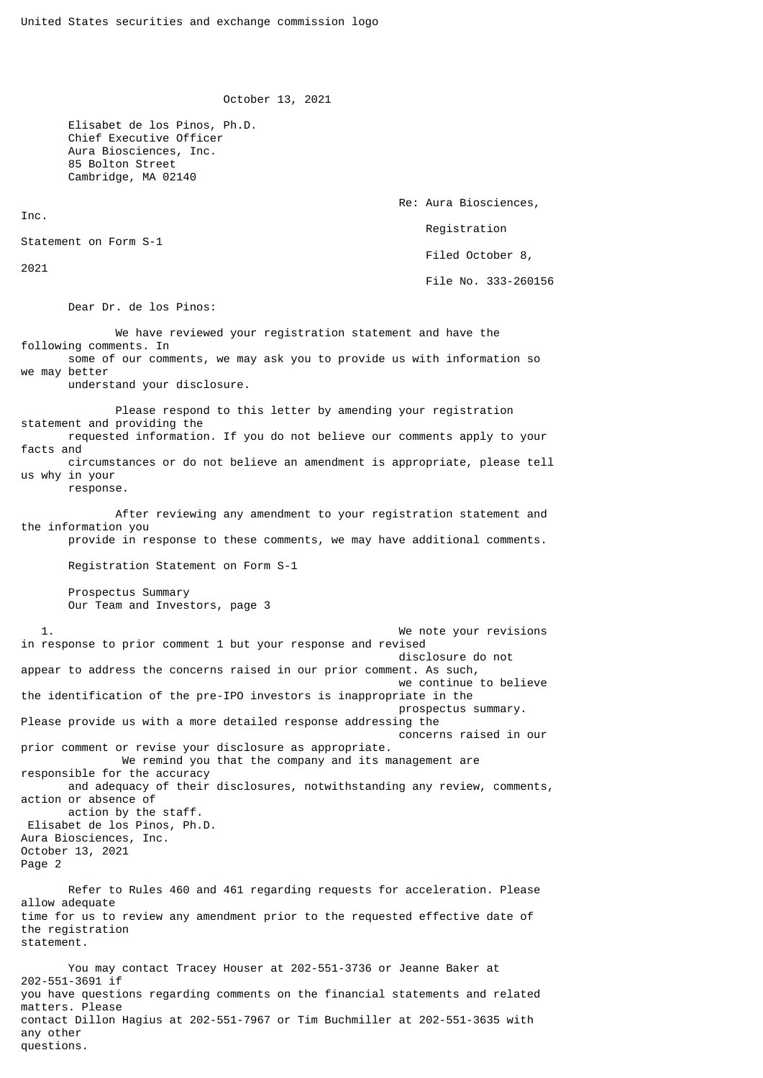October 13, 2021

 Elisabet de los Pinos, Ph.D. Chief Executive Officer Aura Biosciences, Inc. 85 Bolton Street Cambridge, MA 02140

> Re: Aura Biosciences, Registration Filed October 8, File No. 333-260156

Statement on Form S-1

2021

Inc.

Dear Dr. de los Pinos:

 We have reviewed your registration statement and have the following comments. In some of our comments, we may ask you to provide us with information so we may better

understand your disclosure.

 Please respond to this letter by amending your registration statement and providing the requested information. If you do not believe our comments apply to your facts and circumstances or do not believe an amendment is appropriate, please tell

us why in your response.

 After reviewing any amendment to your registration statement and the information you provide in response to these comments, we may have additional comments.

Registration Statement on Form S-1

 Prospectus Summary Our Team and Investors, page 3

 1. We note your revisions in response to prior comment 1 but your response and revised disclosure do not appear to address the concerns raised in our prior comment. As such, we continue to believe the identification of the pre-IPO investors is inappropriate in the prospectus summary. Please provide us with a more detailed response addressing the concerns raised in our prior comment or revise your disclosure as appropriate. We remind you that the company and its management are responsible for the accuracy and adequacy of their disclosures, notwithstanding any review, comments, action or absence of action by the staff. Elisabet de los Pinos, Ph.D. Aura Biosciences, Inc. October 13, 2021 Page 2 Refer to Rules 460 and 461 regarding requests for acceleration. Please

allow adequate time for us to review any amendment prior to the requested effective date of the registration statement.

 You may contact Tracey Houser at 202-551-3736 or Jeanne Baker at 202-551-3691 if you have questions regarding comments on the financial statements and related matters. Please contact Dillon Hagius at 202-551-7967 or Tim Buchmiller at 202-551-3635 with any other questions.